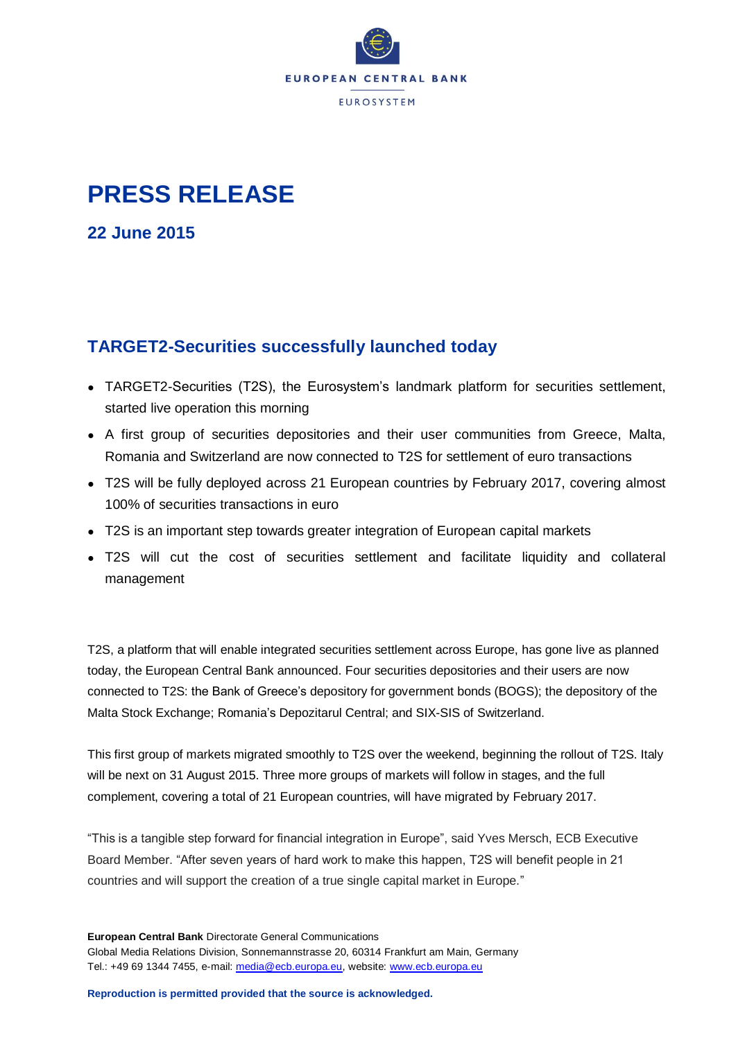

## **PRESS RELEASE**

**22 June 2015**

## **TARGET2-Securities successfully launched today**

- TARGET2-Securities (T2S), the Eurosystem's landmark platform for securities settlement, started live operation this morning
- A first group of securities depositories and their user communities from Greece, Malta, Romania and Switzerland are now connected to T2S for settlement of euro transactions
- T2S will be fully deployed across 21 European countries by February 2017, covering almost 100% of securities transactions in euro
- T2S is an important step towards greater integration of European capital markets
- T2S will cut the cost of securities settlement and facilitate liquidity and collateral management

T2S, a platform that will enable integrated securities settlement across Europe, has gone live as planned today, the European Central Bank announced. Four securities depositories and their users are now connected to T2S: the Bank of Greece's depository for government bonds (BOGS); the depository of the Malta Stock Exchange; Romania's Depozitarul Central; and SIX-SIS of Switzerland.

This first group of markets migrated smoothly to T2S over the weekend, beginning the rollout of T2S. Italy will be next on 31 August 2015. Three more groups of markets will follow in stages, and the full complement, covering a total of 21 European countries, will have migrated by February 2017.

"This is a tangible step forward for financial integration in Europe", said Yves Mersch, ECB Executive Board Member. "After seven years of hard work to make this happen, T2S will benefit people in 21 countries and will support the creation of a true single capital market in Europe."

**European Central Bank** Directorate General Communications Global Media Relations Division, Sonnemannstrasse 20, 60314 Frankfurt am Main, Germany Tel.: +49 69 1344 7455, e-mail: [media@ecb.europa.eu,](mailto:media@ecb.europa.eu) website: [www.ecb.europa.eu](http://www.ecb.europa.eu/)